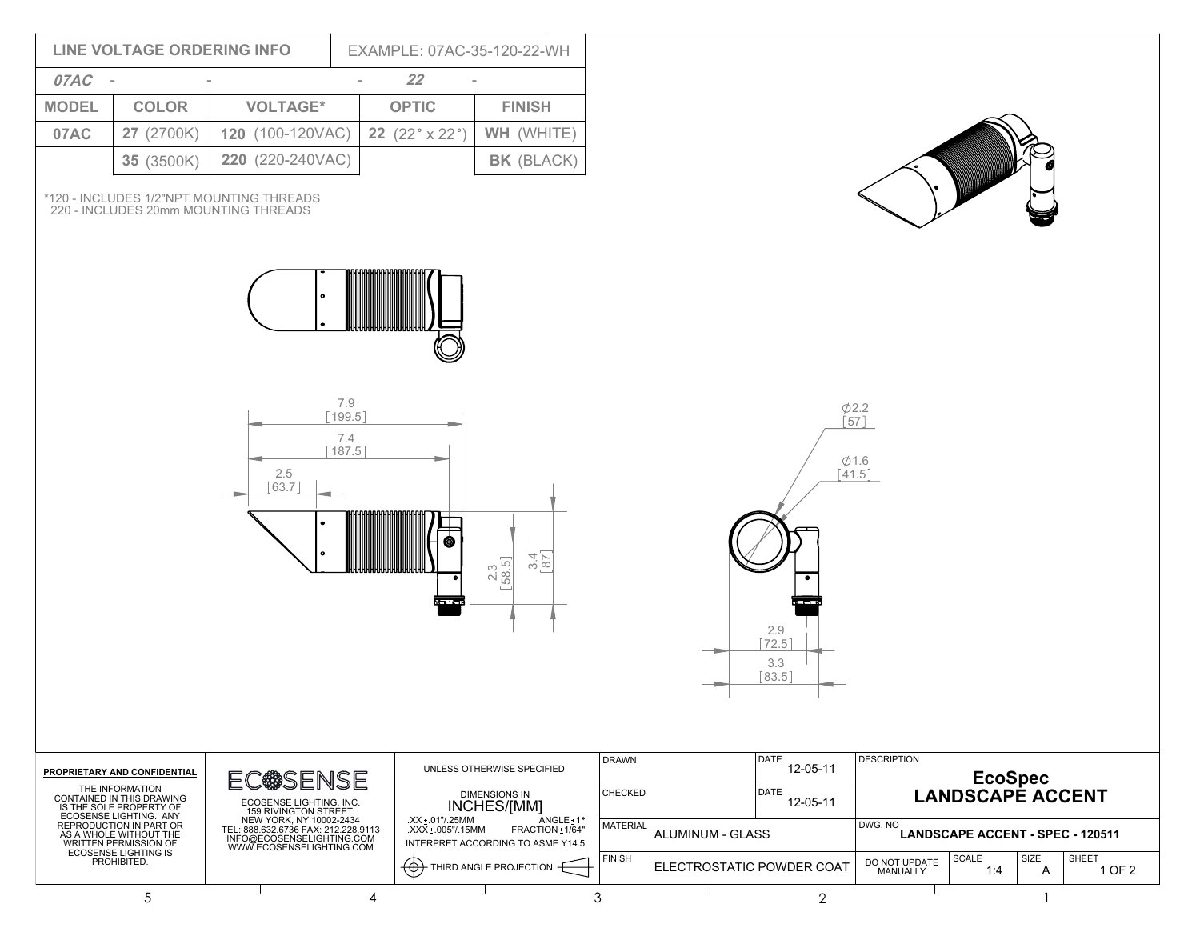|              | <b>LINE VOLTAGE ORDERING INFO</b>                                                                                                                      |                                                                                                                                                            |                                      | EXAMPLE: 07AC-35-120-22-WH                                                         |                              |                                            |  |                                                 |                                                                           |  |  |  |
|--------------|--------------------------------------------------------------------------------------------------------------------------------------------------------|------------------------------------------------------------------------------------------------------------------------------------------------------------|--------------------------------------|------------------------------------------------------------------------------------|------------------------------|--------------------------------------------|--|-------------------------------------------------|---------------------------------------------------------------------------|--|--|--|
| 07AC -       |                                                                                                                                                        |                                                                                                                                                            |                                      | 22                                                                                 |                              |                                            |  |                                                 |                                                                           |  |  |  |
| <b>MODEL</b> | <b>COLOR</b>                                                                                                                                           | <b>VOLTAGE*</b>                                                                                                                                            |                                      | <b>OPTIC</b>                                                                       | <b>FINISH</b>                |                                            |  |                                                 |                                                                           |  |  |  |
| 07AC         | 27 (2700K)                                                                                                                                             | 120 (100-120VAC)                                                                                                                                           |                                      | WH (WHITE)<br>22 $(22° \times 22°)$                                                |                              |                                            |  |                                                 |                                                                           |  |  |  |
|              | 35 (3500K)                                                                                                                                             | 220 (220-240VAC)                                                                                                                                           |                                      |                                                                                    | BK (BLACK)                   |                                            |  |                                                 |                                                                           |  |  |  |
|              |                                                                                                                                                        | *120 - INCLUDES 1/2"NPT MOUNTING THREADS<br>220 - INCLUDES 20mm MOUNTING THREADS                                                                           |                                      |                                                                                    |                              |                                            |  |                                                 |                                                                           |  |  |  |
|              |                                                                                                                                                        |                                                                                                                                                            |                                      |                                                                                    |                              |                                            |  |                                                 |                                                                           |  |  |  |
|              |                                                                                                                                                        | 2.5<br>$[63.7]$                                                                                                                                            | 7.9<br>$[199.5]$<br>7.4<br>$[187.5]$ | Œ<br>العدماء<br>العدماء                                                            | $3.4$ $87$<br>$2.3$<br>58.5] |                                            |  | $\bullet$<br>2.9<br>$[72.5]$<br>3.3<br>$[83.5]$ | $\phi$ 2.2<br>[57]<br>$\phi$ 1.6<br>$[41.5]$                              |  |  |  |
|              | PROPRIETARY AND CONFIDENTIAL                                                                                                                           |                                                                                                                                                            |                                      |                                                                                    | UNLESS OTHERWISE SPECIFIED   | <b>DRAWN</b>                               |  | DATE<br>12-05-11                                | <b>DESCRIPTION</b>                                                        |  |  |  |
|              | THE INFORMATION<br>CONTAINED IN THIS DRAWING<br>IS THE SOLE PROPERTY OF<br>ECOSENSE LIGHTING. ANY<br>REPRODUCTION IN PART OR<br>AS A WHOLE WITHOUT THE | EC@SENSE<br>ECOSENSE LIGHTING, INC.<br>159 RIVINGTON STREET<br>NEW YORK, NY 10002-2434<br>TEL: 888.632.6736 FAX: 212.228.9113<br>INFO@ECOSENSELIGHTING.COM |                                      | <b>DIMENSIONS IN</b><br>INCHES/[MM]                                                |                              | <b>CHECKED</b>                             |  | DATE<br>12-05-11                                | EcoSpec<br>LANDSCAPE ACCENT                                               |  |  |  |
|              |                                                                                                                                                        |                                                                                                                                                            |                                      | .XX ± .01"/.25MM<br>ANGLE <sub>±1</sub> °<br>.XXX ± .005"/.15MM<br>FRACTION +1/64" |                              | <b>MATERIAL</b><br>ALUMINUM - GLASS        |  |                                                 | DWG. NO<br><b>LANDSCAPE ACCENT - SPEC - 120511</b>                        |  |  |  |
|              | <b>WRITTEN PERMISSION OF</b><br><b>ECOSENSE LIGHTING IS</b><br>PROHIBITED.                                                                             | WWW.ECOSENSELIGHTING.COM                                                                                                                                   |                                      | INTERPRET ACCORDING TO ASME Y14.5<br>$\Theta$ THIRD ANGLE PROJECTION $\Theta$      |                              | <b>FINISH</b><br>ELECTROSTATIC POWDER COAT |  |                                                 | SCALE<br>SIZE<br>SHEET<br>DO NOT UPDATE<br>1 OF 2<br>1:4<br>A<br>MANUALLY |  |  |  |
|              | 5                                                                                                                                                      |                                                                                                                                                            | $\overline{4}$                       |                                                                                    |                              | 3                                          |  | $\overline{2}$                                  | -1                                                                        |  |  |  |